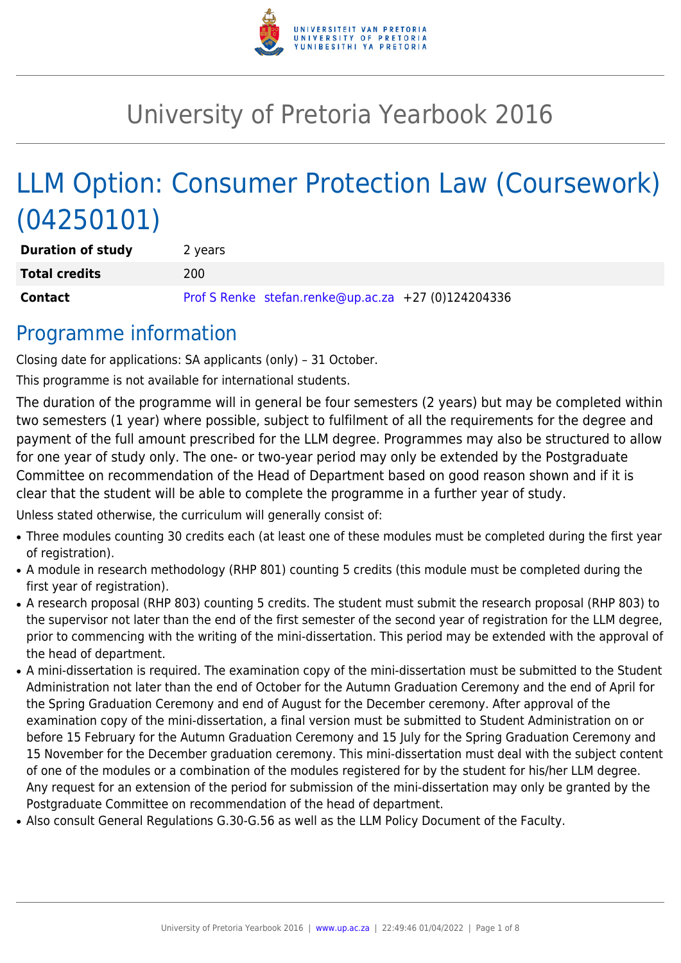

# University of Pretoria Yearbook 2016

# LLM Option: Consumer Protection Law (Coursework) (04250101)

| <b>Duration of study</b> | 2 years |                                                     |  |
|--------------------------|---------|-----------------------------------------------------|--|
| <b>Total credits</b>     | 200     |                                                     |  |
| <b>Contact</b>           |         | Prof S Renke stefan.renke@up.ac.za +27 (0)124204336 |  |

## Programme information

Closing date for applications: SA applicants (only) – 31 October.

This programme is not available for international students.

The duration of the programme will in general be four semesters (2 years) but may be completed within two semesters (1 year) where possible, subject to fulfilment of all the requirements for the degree and payment of the full amount prescribed for the LLM degree. Programmes may also be structured to allow for one year of study only. The one- or two-year period may only be extended by the Postgraduate Committee on recommendation of the Head of Department based on good reason shown and if it is clear that the student will be able to complete the programme in a further year of study.

Unless stated otherwise, the curriculum will generally consist of:

- Three modules counting 30 credits each (at least one of these modules must be completed during the first year of registration).
- A module in research methodology (RHP 801) counting 5 credits (this module must be completed during the first year of registration).
- A research proposal (RHP 803) counting 5 credits. The student must submit the research proposal (RHP 803) to the supervisor not later than the end of the first semester of the second year of registration for the LLM degree, prior to commencing with the writing of the mini-dissertation. This period may be extended with the approval of the head of department.
- A mini-dissertation is required. The examination copy of the mini-dissertation must be submitted to the Student Administration not later than the end of October for the Autumn Graduation Ceremony and the end of April for the Spring Graduation Ceremony and end of August for the December ceremony. After approval of the examination copy of the mini-dissertation, a final version must be submitted to Student Administration on or before 15 February for the Autumn Graduation Ceremony and 15 July for the Spring Graduation Ceremony and 15 November for the December graduation ceremony. This mini-dissertation must deal with the subject content of one of the modules or a combination of the modules registered for by the student for his/her LLM degree. Any request for an extension of the period for submission of the mini-dissertation may only be granted by the Postgraduate Committee on recommendation of the head of department.
- Also consult General Regulations G.30-G.56 as well as the LLM Policy Document of the Faculty.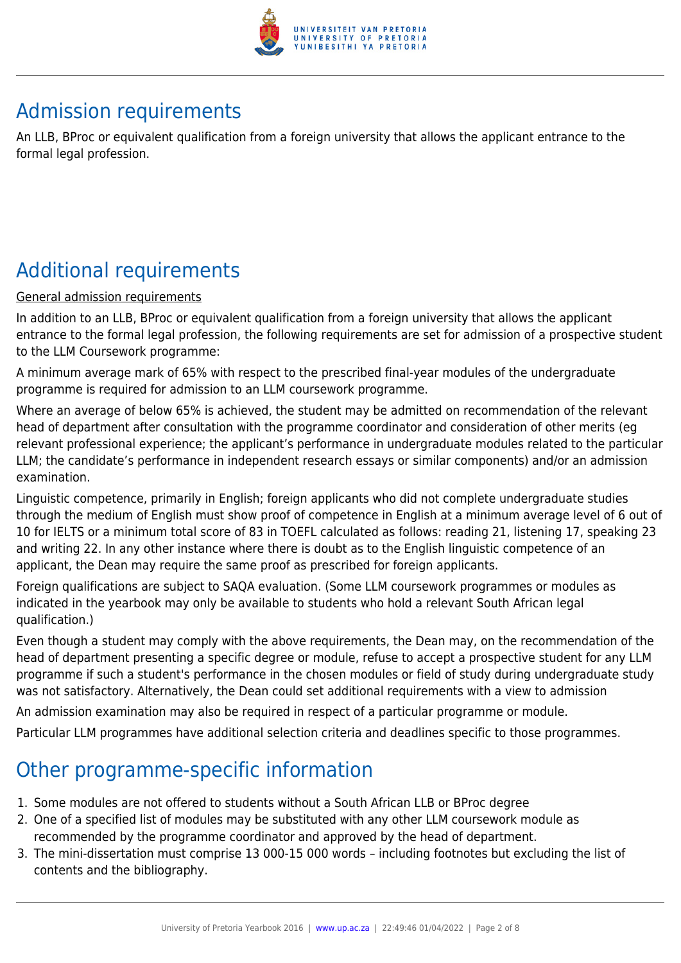

# Admission requirements

An LLB, BProc or equivalent qualification from a foreign university that allows the applicant entrance to the formal legal profession.

# Additional requirements

#### General admission requirements

In addition to an LLB, BProc or equivalent qualification from a foreign university that allows the applicant entrance to the formal legal profession, the following requirements are set for admission of a prospective student to the LLM Coursework programme:

A minimum average mark of 65% with respect to the prescribed final-year modules of the undergraduate programme is required for admission to an LLM coursework programme.

Where an average of below 65% is achieved, the student may be admitted on recommendation of the relevant head of department after consultation with the programme coordinator and consideration of other merits (eg relevant professional experience; the applicant's performance in undergraduate modules related to the particular LLM; the candidate's performance in independent research essays or similar components) and/or an admission examination.

Linguistic competence, primarily in English; foreign applicants who did not complete undergraduate studies through the medium of English must show proof of competence in English at a minimum average level of 6 out of 10 for IELTS or a minimum total score of 83 in TOEFL calculated as follows: reading 21, listening 17, speaking 23 and writing 22. In any other instance where there is doubt as to the English linguistic competence of an applicant, the Dean may require the same proof as prescribed for foreign applicants.

Foreign qualifications are subject to SAQA evaluation. (Some LLM coursework programmes or modules as indicated in the yearbook may only be available to students who hold a relevant South African legal qualification.)

Even though a student may comply with the above requirements, the Dean may, on the recommendation of the head of department presenting a specific degree or module, refuse to accept a prospective student for any LLM programme if such a student's performance in the chosen modules or field of study during undergraduate study was not satisfactory. Alternatively, the Dean could set additional requirements with a view to admission

An admission examination may also be required in respect of a particular programme or module.

Particular LLM programmes have additional selection criteria and deadlines specific to those programmes.

# Other programme-specific information

- 1. Some modules are not offered to students without a South African LLB or BProc degree
- 2. One of a specified list of modules may be substituted with any other LLM coursework module as recommended by the programme coordinator and approved by the head of department.
- 3. The mini-dissertation must comprise 13 000-15 000 words including footnotes but excluding the list of contents and the bibliography.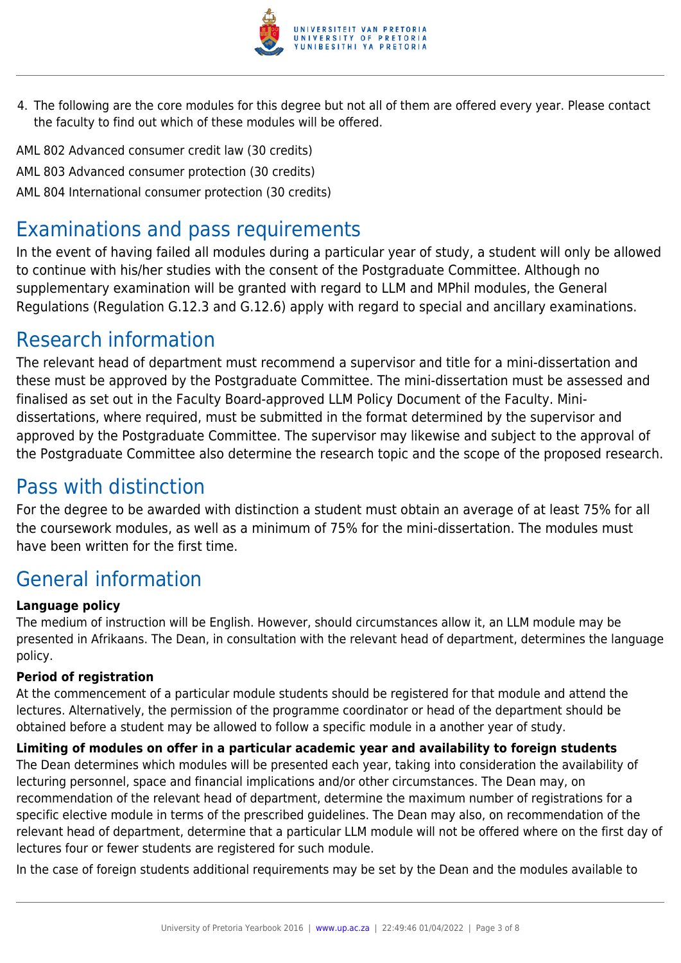

4. The following are the core modules for this degree but not all of them are offered every year. Please contact the faculty to find out which of these modules will be offered.

AML 802 Advanced consumer credit law (30 credits) AML 803 Advanced consumer protection (30 credits) AML 804 International consumer protection (30 credits)

# Examinations and pass requirements

In the event of having failed all modules during a particular year of study, a student will only be allowed to continue with his/her studies with the consent of the Postgraduate Committee. Although no supplementary examination will be granted with regard to LLM and MPhil modules, the General Regulations (Regulation G.12.3 and G.12.6) apply with regard to special and ancillary examinations.

## Research information

The relevant head of department must recommend a supervisor and title for a mini-dissertation and these must be approved by the Postgraduate Committee. The mini-dissertation must be assessed and finalised as set out in the Faculty Board-approved LLM Policy Document of the Faculty. Minidissertations, where required, must be submitted in the format determined by the supervisor and approved by the Postgraduate Committee. The supervisor may likewise and subject to the approval of the Postgraduate Committee also determine the research topic and the scope of the proposed research.

## Pass with distinction

For the degree to be awarded with distinction a student must obtain an average of at least 75% for all the coursework modules, as well as a minimum of 75% for the mini-dissertation. The modules must have been written for the first time.

# General information

### **Language policy**

The medium of instruction will be English. However, should circumstances allow it, an LLM module may be presented in Afrikaans. The Dean, in consultation with the relevant head of department, determines the language policy.

### **Period of registration**

At the commencement of a particular module students should be registered for that module and attend the lectures. Alternatively, the permission of the programme coordinator or head of the department should be obtained before a student may be allowed to follow a specific module in a another year of study.

### **Limiting of modules on offer in a particular academic year and availability to foreign students**

The Dean determines which modules will be presented each year, taking into consideration the availability of lecturing personnel, space and financial implications and/or other circumstances. The Dean may, on recommendation of the relevant head of department, determine the maximum number of registrations for a specific elective module in terms of the prescribed guidelines. The Dean may also, on recommendation of the relevant head of department, determine that a particular LLM module will not be offered where on the first day of lectures four or fewer students are registered for such module.

In the case of foreign students additional requirements may be set by the Dean and the modules available to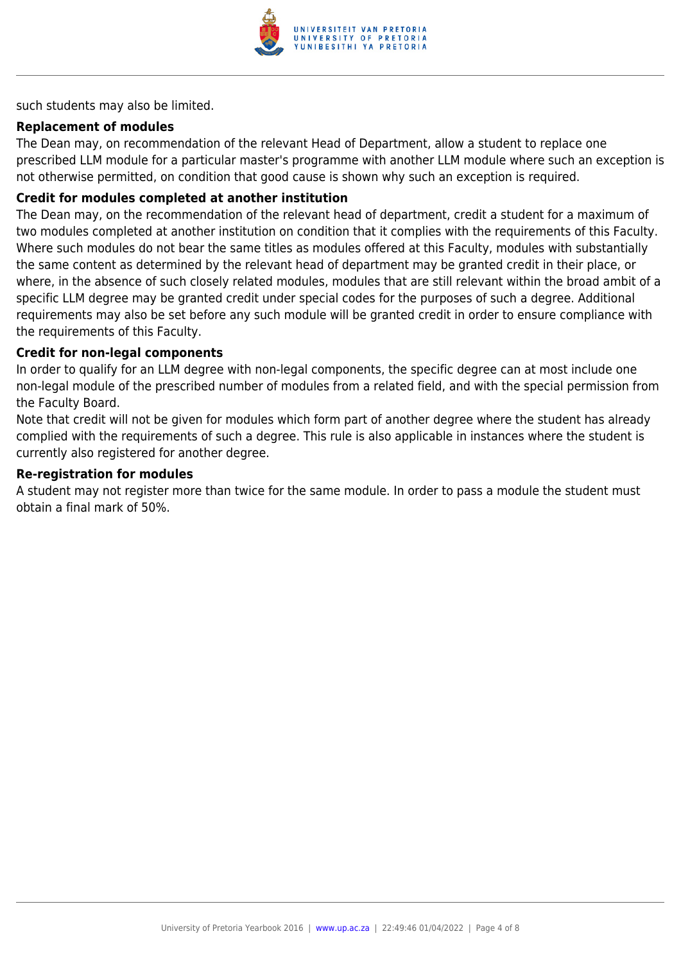

such students may also be limited.

#### **Replacement of modules**

The Dean may, on recommendation of the relevant Head of Department, allow a student to replace one prescribed LLM module for a particular master's programme with another LLM module where such an exception is not otherwise permitted, on condition that good cause is shown why such an exception is required.

#### **Credit for modules completed at another institution**

The Dean may, on the recommendation of the relevant head of department, credit a student for a maximum of two modules completed at another institution on condition that it complies with the requirements of this Faculty. Where such modules do not bear the same titles as modules offered at this Faculty, modules with substantially the same content as determined by the relevant head of department may be granted credit in their place, or where, in the absence of such closely related modules, modules that are still relevant within the broad ambit of a specific LLM degree may be granted credit under special codes for the purposes of such a degree. Additional requirements may also be set before any such module will be granted credit in order to ensure compliance with the requirements of this Faculty.

#### **Credit for non-legal components**

In order to qualify for an LLM degree with non-legal components, the specific degree can at most include one non-legal module of the prescribed number of modules from a related field, and with the special permission from the Faculty Board.

Note that credit will not be given for modules which form part of another degree where the student has already complied with the requirements of such a degree. This rule is also applicable in instances where the student is currently also registered for another degree.

#### **Re-registration for modules**

A student may not register more than twice for the same module. In order to pass a module the student must obtain a final mark of 50%.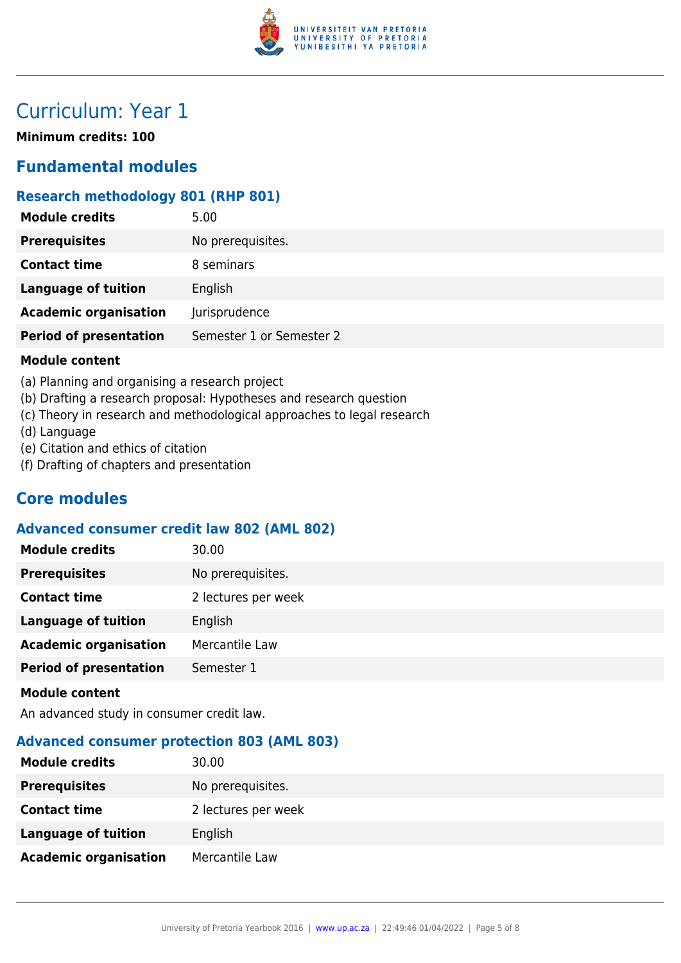

# Curriculum: Year 1

**Minimum credits: 100**

### **Fundamental modules**

#### **Research methodology 801 (RHP 801)**

| <b>Module credits</b>         | 5.00                     |
|-------------------------------|--------------------------|
| <b>Prerequisites</b>          | No prerequisites.        |
| <b>Contact time</b>           | 8 seminars               |
| <b>Language of tuition</b>    | English                  |
| <b>Academic organisation</b>  | Jurisprudence            |
| <b>Period of presentation</b> | Semester 1 or Semester 2 |
|                               |                          |

#### **Module content**

- (a) Planning and organising a research project
- (b) Drafting a research proposal: Hypotheses and research question
- (c) Theory in research and methodological approaches to legal research
- (d) Language
- (e) Citation and ethics of citation
- (f) Drafting of chapters and presentation

### **Core modules**

#### **Advanced consumer credit law 802 (AML 802)**

| <b>Module credits</b>         | 30.00               |
|-------------------------------|---------------------|
| <b>Prerequisites</b>          | No prerequisites.   |
| <b>Contact time</b>           | 2 lectures per week |
| <b>Language of tuition</b>    | English             |
| <b>Academic organisation</b>  | Mercantile Law      |
| <b>Period of presentation</b> | Semester 1          |
|                               |                     |

#### **Module content**

An advanced study in consumer credit law.

#### **Advanced consumer protection 803 (AML 803)**

| <b>Module credits</b>        | 30.00               |
|------------------------------|---------------------|
| <b>Prerequisites</b>         | No prerequisites.   |
| <b>Contact time</b>          | 2 lectures per week |
| <b>Language of tuition</b>   | English             |
| <b>Academic organisation</b> | Mercantile Law      |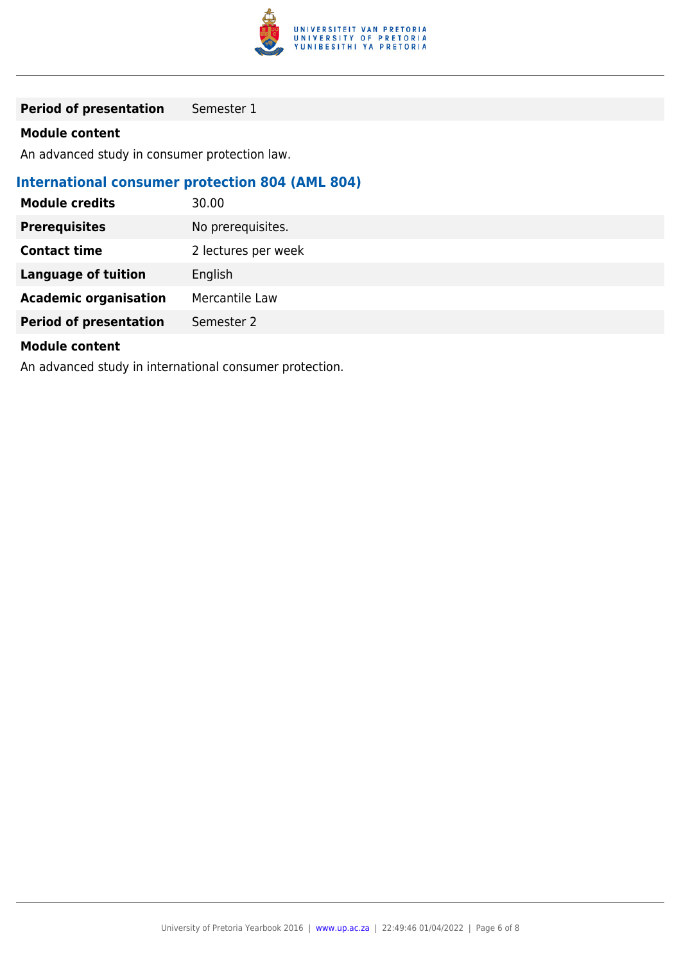

**Period of presentation** Semester 1

#### **Module content**

An advanced study in consumer protection law.

#### **International consumer protection 804 (AML 804)**

| <b>Module credits</b>         | 30.00               |
|-------------------------------|---------------------|
| <b>Prerequisites</b>          | No prerequisites.   |
| <b>Contact time</b>           | 2 lectures per week |
| <b>Language of tuition</b>    | English             |
| <b>Academic organisation</b>  | Mercantile Law      |
| <b>Period of presentation</b> | Semester 2          |
|                               |                     |

#### **Module content**

An advanced study in international consumer protection.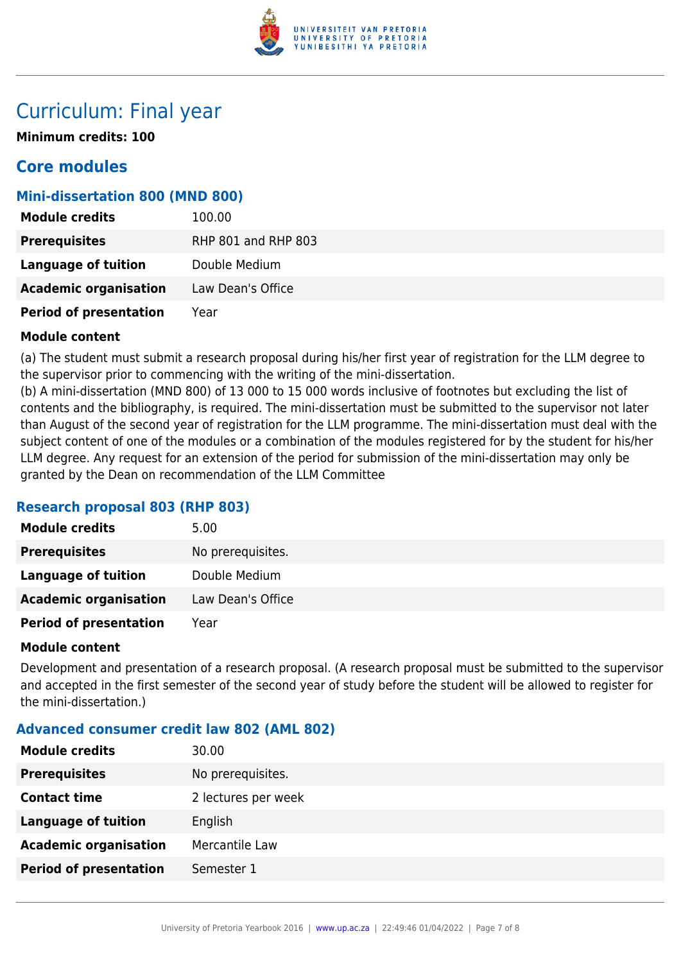

### Curriculum: Final year

**Minimum credits: 100**

### **Core modules**

#### **Mini-dissertation 800 (MND 800)**

| <b>Module credits</b>         | 100.00              |
|-------------------------------|---------------------|
| <b>Prerequisites</b>          | RHP 801 and RHP 803 |
| Language of tuition           | Double Medium       |
| <b>Academic organisation</b>  | Law Dean's Office   |
| <b>Period of presentation</b> | Year                |

#### **Module content**

(a) The student must submit a research proposal during his/her first year of registration for the LLM degree to the supervisor prior to commencing with the writing of the mini-dissertation.

(b) A mini-dissertation (MND 800) of 13 000 to 15 000 words inclusive of footnotes but excluding the list of contents and the bibliography, is required. The mini-dissertation must be submitted to the supervisor not later than August of the second year of registration for the LLM programme. The mini-dissertation must deal with the subject content of one of the modules or a combination of the modules registered for by the student for his/her LLM degree. Any request for an extension of the period for submission of the mini-dissertation may only be granted by the Dean on recommendation of the LLM Committee

#### **Research proposal 803 (RHP 803)**

| <b>Module credits</b>         | 5.00              |
|-------------------------------|-------------------|
| <b>Prerequisites</b>          | No prerequisites. |
| Language of tuition           | Double Medium     |
| <b>Academic organisation</b>  | Law Dean's Office |
| <b>Period of presentation</b> | Year              |

#### **Module content**

Development and presentation of a research proposal. (A research proposal must be submitted to the supervisor and accepted in the first semester of the second year of study before the student will be allowed to register for the mini-dissertation.)

#### **Advanced consumer credit law 802 (AML 802)**

| <b>Module credits</b>         | 30.00               |
|-------------------------------|---------------------|
| <b>Prerequisites</b>          | No prerequisites.   |
| <b>Contact time</b>           | 2 lectures per week |
| <b>Language of tuition</b>    | English             |
| <b>Academic organisation</b>  | Mercantile Law      |
| <b>Period of presentation</b> | Semester 1          |